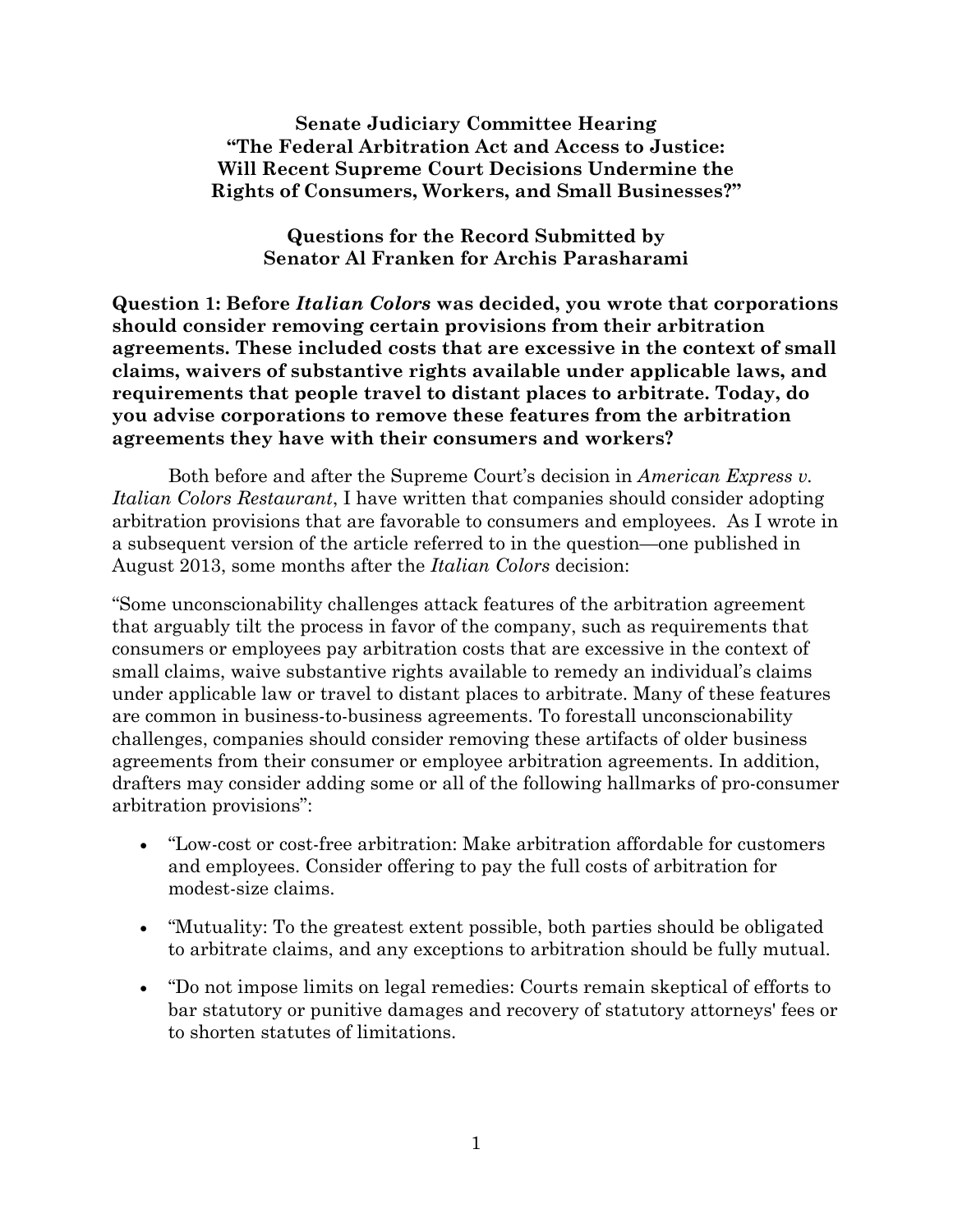**Senate Judiciary Committee Hearing "The Federal Arbitration Act and Access to Justice: Will Recent Supreme Court Decisions Undermine the Rights of Consumers, Workers, and Small Businesses?"** 

**Questions for the Record Submitted by Senator Al Franken for Archis Parasharami** 

**Question 1: Before** *Italian Colors* **was decided, you wrote that corporations should consider removing certain provisions from their arbitration agreements. These included costs that are excessive in the context of small claims, waivers of substantive rights available under applicable laws, and requirements that people travel to distant places to arbitrate. Today, do you advise corporations to remove these features from the arbitration agreements they have with their consumers and workers?**

Both before and after the Supreme Court's decision in *American Express v. Italian Colors Restaurant*, I have written that companies should consider adopting arbitration provisions that are favorable to consumers and employees. As I wrote in a subsequent version of the article referred to in the question—one published in August 2013, some months after the *Italian Colors* decision:

"Some unconscionability challenges attack features of the arbitration agreement that arguably tilt the process in favor of the company, such as requirements that consumers or employees pay arbitration costs that are excessive in the context of small claims, waive substantive rights available to remedy an individual's claims under applicable law or travel to distant places to arbitrate. Many of these features are common in business-to-business agreements. To forestall unconscionability challenges, companies should consider removing these artifacts of older business agreements from their consumer or employee arbitration agreements. In addition, drafters may consider adding some or all of the following hallmarks of pro-consumer arbitration provisions":

- "Low-cost or cost-free arbitration: Make arbitration affordable for customers and employees. Consider offering to pay the full costs of arbitration for modest-size claims.
- "Mutuality: To the greatest extent possible, both parties should be obligated to arbitrate claims, and any exceptions to arbitration should be fully mutual.
- "Do not impose limits on legal remedies: Courts remain skeptical of efforts to bar statutory or punitive damages and recovery of statutory attorneys' fees or to shorten statutes of limitations.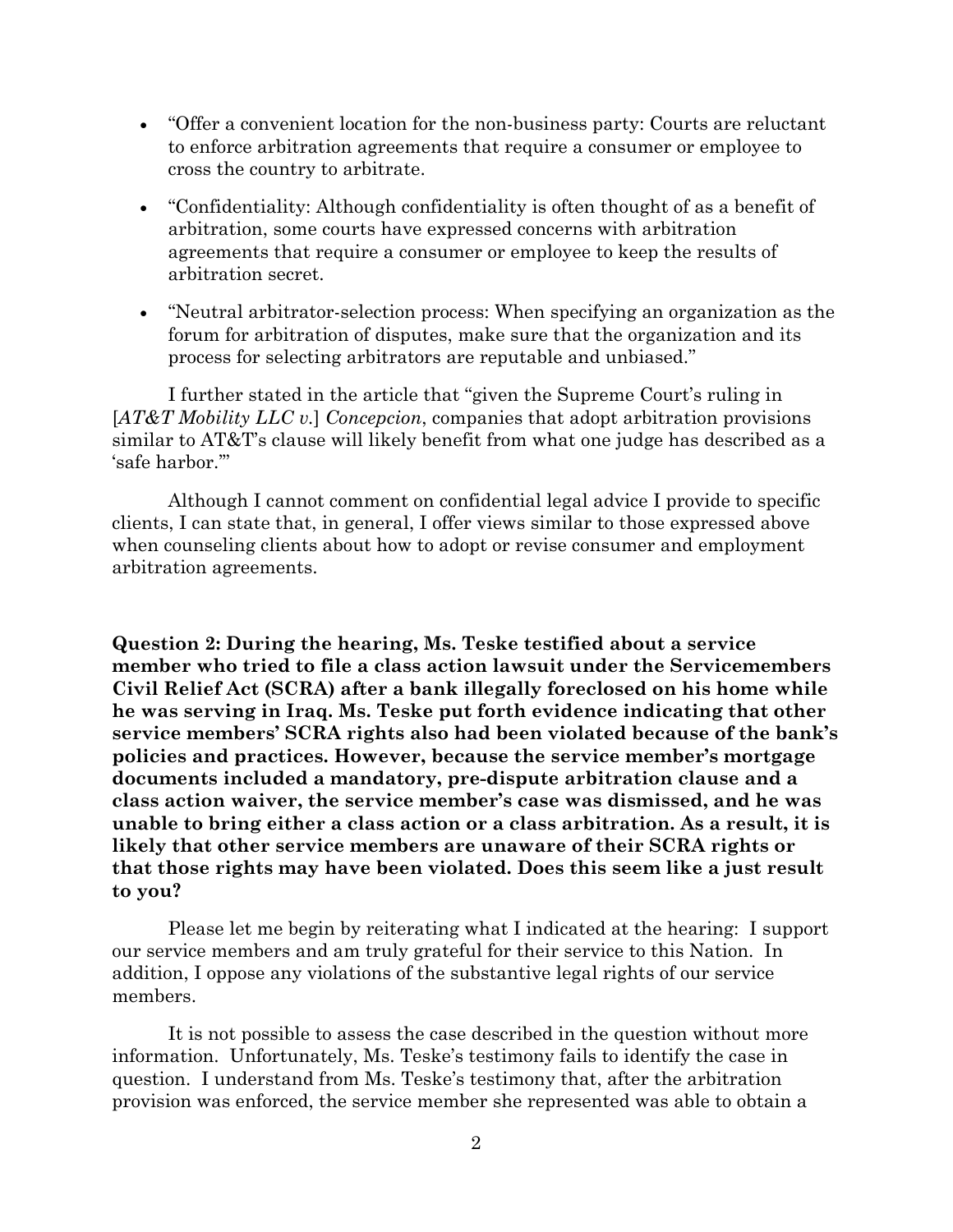- "Offer a convenient location for the non-business party: Courts are reluctant to enforce arbitration agreements that require a consumer or employee to cross the country to arbitrate.
- "Confidentiality: Although confidentiality is often thought of as a benefit of arbitration, some courts have expressed concerns with arbitration agreements that require a consumer or employee to keep the results of arbitration secret.
- "Neutral arbitrator-selection process: When specifying an organization as the forum for arbitration of disputes, make sure that the organization and its process for selecting arbitrators are reputable and unbiased."

I further stated in the article that "given the Supreme Court's ruling in [*AT&T Mobility LLC v.*] *Concepcion*, companies that adopt arbitration provisions similar to AT&T's clause will likely benefit from what one judge has described as a 'safe harbor.'"

Although I cannot comment on confidential legal advice I provide to specific clients, I can state that, in general, I offer views similar to those expressed above when counseling clients about how to adopt or revise consumer and employment arbitration agreements.

**Question 2: During the hearing, Ms. Teske testified about a service member who tried to file a class action lawsuit under the Servicemembers Civil Relief Act (SCRA) after a bank illegally foreclosed on his home while he was serving in Iraq. Ms. Teske put forth evidence indicating that other service members' SCRA rights also had been violated because of the bank's policies and practices. However, because the service member's mortgage documents included a mandatory, pre-dispute arbitration clause and a class action waiver, the service member's case was dismissed, and he was unable to bring either a class action or a class arbitration. As a result, it is likely that other service members are unaware of their SCRA rights or that those rights may have been violated. Does this seem like a just result to you?** 

Please let me begin by reiterating what I indicated at the hearing: I support our service members and am truly grateful for their service to this Nation. In addition, I oppose any violations of the substantive legal rights of our service members.

It is not possible to assess the case described in the question without more information. Unfortunately, Ms. Teske's testimony fails to identify the case in question. I understand from Ms. Teske's testimony that, after the arbitration provision was enforced, the service member she represented was able to obtain a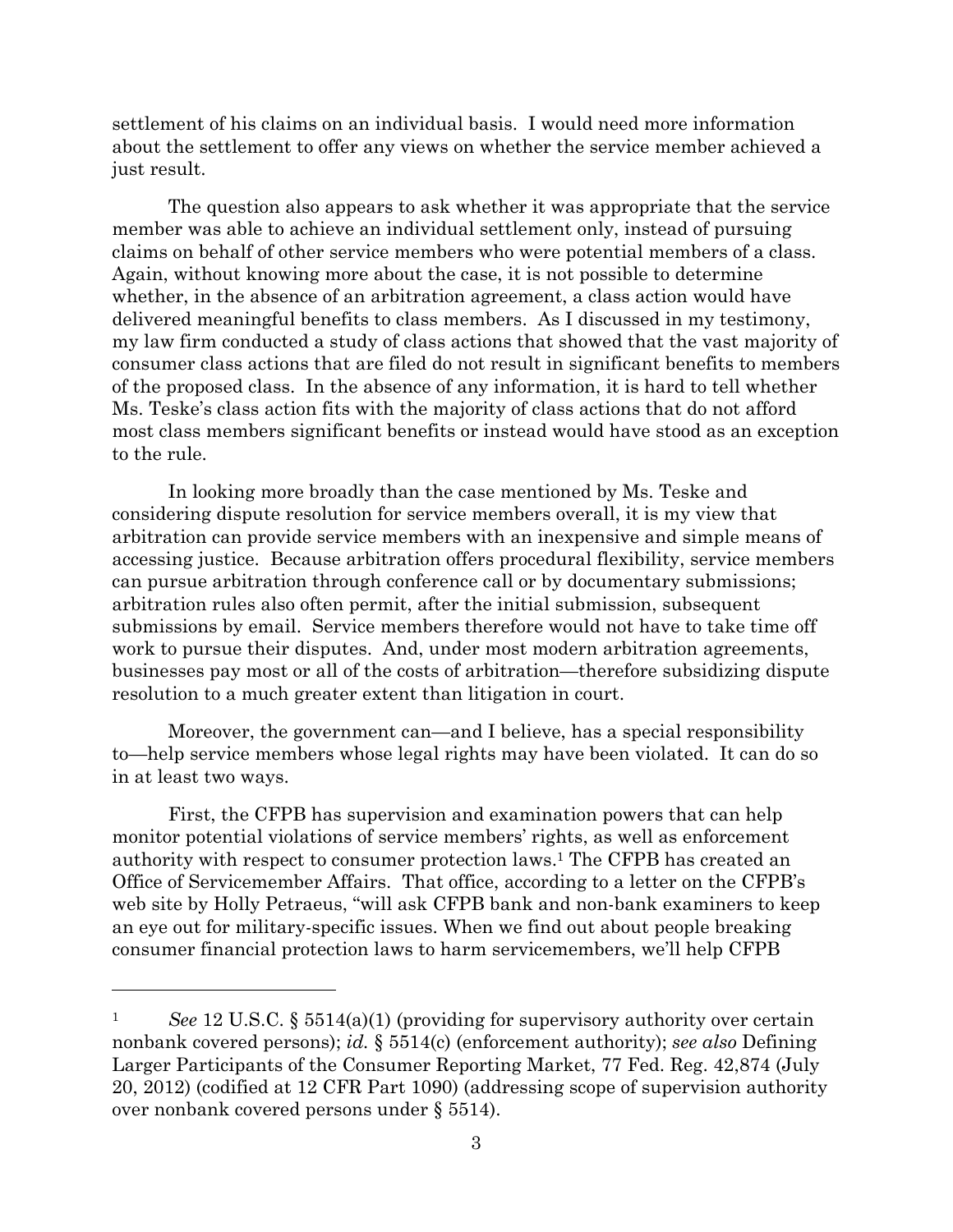settlement of his claims on an individual basis. I would need more information about the settlement to offer any views on whether the service member achieved a just result.

The question also appears to ask whether it was appropriate that the service member was able to achieve an individual settlement only, instead of pursuing claims on behalf of other service members who were potential members of a class. Again, without knowing more about the case, it is not possible to determine whether, in the absence of an arbitration agreement, a class action would have delivered meaningful benefits to class members. As I discussed in my testimony, my law firm conducted a study of class actions that showed that the vast majority of consumer class actions that are filed do not result in significant benefits to members of the proposed class. In the absence of any information, it is hard to tell whether Ms. Teske's class action fits with the majority of class actions that do not afford most class members significant benefits or instead would have stood as an exception to the rule.

In looking more broadly than the case mentioned by Ms. Teske and considering dispute resolution for service members overall, it is my view that arbitration can provide service members with an inexpensive and simple means of accessing justice. Because arbitration offers procedural flexibility, service members can pursue arbitration through conference call or by documentary submissions; arbitration rules also often permit, after the initial submission, subsequent submissions by email. Service members therefore would not have to take time off work to pursue their disputes. And, under most modern arbitration agreements, businesses pay most or all of the costs of arbitration—therefore subsidizing dispute resolution to a much greater extent than litigation in court.

Moreover, the government can—and I believe, has a special responsibility to—help service members whose legal rights may have been violated. It can do so in at least two ways.

First, the CFPB has supervision and examination powers that can help monitor potential violations of service members' rights, as well as enforcement authority with respect to consumer protection laws.1 The CFPB has created an Office of Servicemember Affairs. That office, according to a letter on the CFPB's web site by Holly Petraeus, "will ask CFPB bank and non-bank examiners to keep an eye out for military-specific issues. When we find out about people breaking consumer financial protection laws to harm servicemembers, we'll help CFPB

 $\overline{a}$ 

<sup>1</sup> *See* 12 U.S.C. § 5514(a)(1) (providing for supervisory authority over certain nonbank covered persons); *id.* § 5514(c) (enforcement authority); *see also* Defining Larger Participants of the Consumer Reporting Market, 77 Fed. Reg. 42,874 (July 20, 2012) (codified at 12 CFR Part 1090) (addressing scope of supervision authority over nonbank covered persons under § 5514).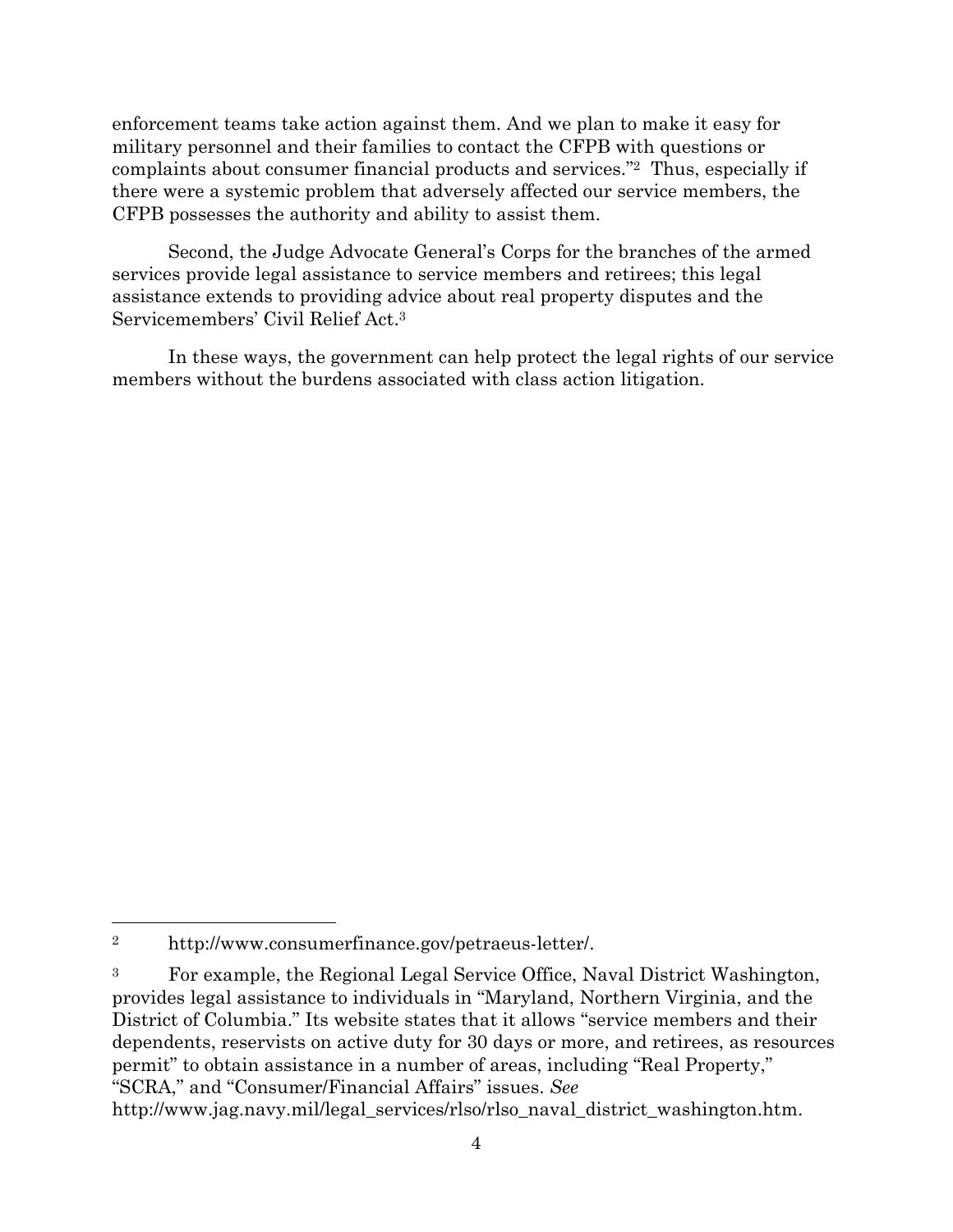enforcement teams take action against them. And we plan to make it easy for military personnel and their families to contact the CFPB with questions or complaints about consumer financial products and services."2 Thus, especially if there were a systemic problem that adversely affected our service members, the CFPB possesses the authority and ability to assist them.

Second, the Judge Advocate General's Corps for the branches of the armed services provide legal assistance to service members and retirees; this legal assistance extends to providing advice about real property disputes and the Servicemembers' Civil Relief Act.3

In these ways, the government can help protect the legal rights of our service members without the burdens associated with class action litigation.

1

<sup>2</sup> http://www.consumerfinance.gov/petraeus-letter/.

<sup>3</sup> For example, the Regional Legal Service Office, Naval District Washington, provides legal assistance to individuals in "Maryland, Northern Virginia, and the District of Columbia." Its website states that it allows "service members and their dependents, reservists on active duty for 30 days or more, and retirees, as resources permit" to obtain assistance in a number of areas, including "Real Property," "SCRA," and "Consumer/Financial Affairs" issues. *See*

http://www.jag.navy.mil/legal\_services/rlso/rlso\_naval\_district\_washington.htm.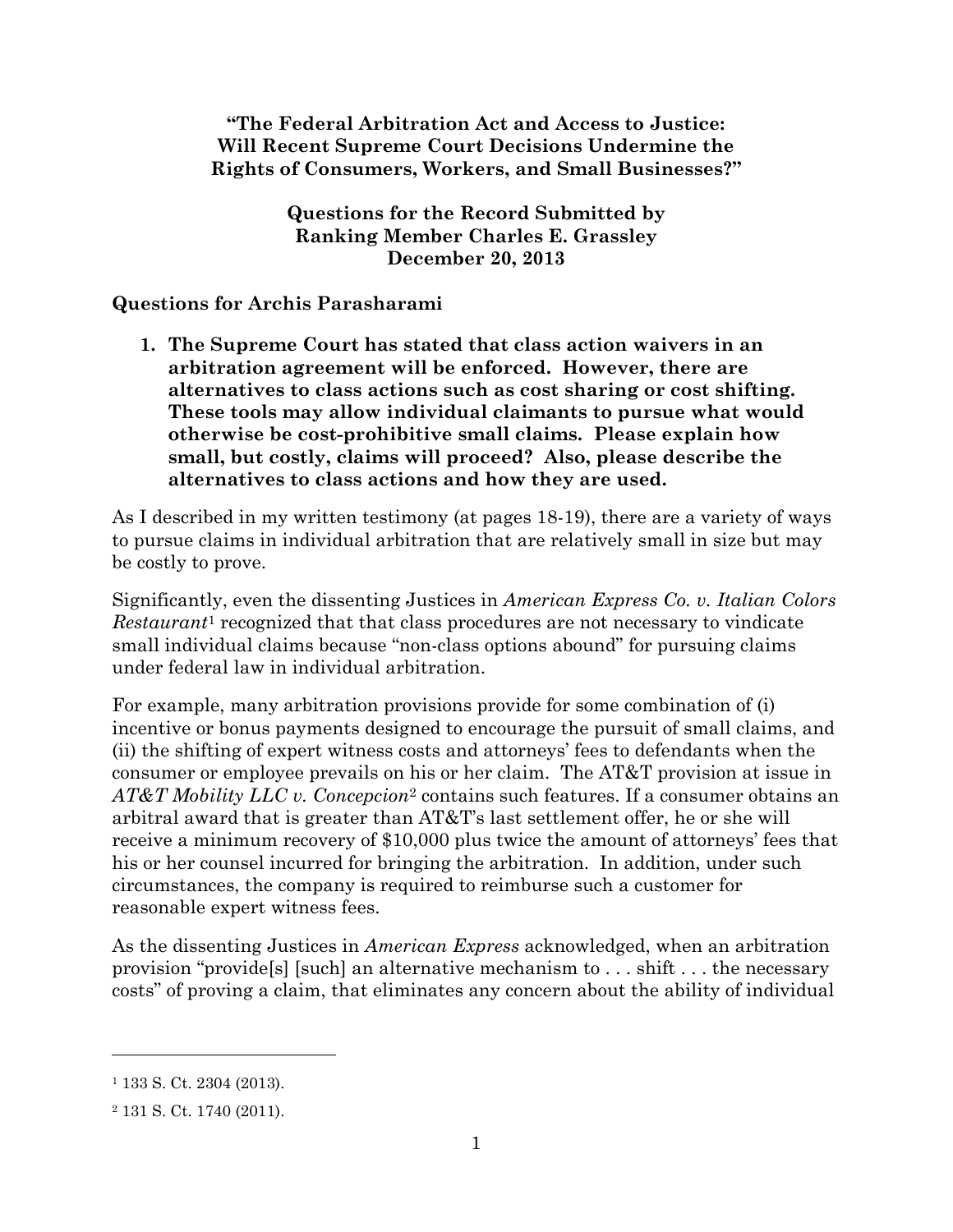**"The Federal Arbitration Act and Access to Justice: Will Recent Supreme Court Decisions Undermine the Rights of Consumers, Workers, and Small Businesses?"**

> **Questions for the Record Submitted by Ranking Member Charles E. Grassley December 20, 2013**

**Questions for Archis Parasharami**

**1. The Supreme Court has stated that class action waivers in an arbitration agreement will be enforced. However, there are alternatives to class actions such as cost sharing or cost shifting. These tools may allow individual claimants to pursue what would otherwise be cost-prohibitive small claims. Please explain how small, but costly, claims will proceed? Also, please describe the alternatives to class actions and how they are used.**

As I described in my written testimony (at pages 18-19), there are a variety of ways to pursue claims in individual arbitration that are relatively small in size but may be costly to prove.

Significantly, even the dissenting Justices in *American Express Co. v. Italian Colors Restaurant*<sup>1</sup> recognized that that class procedures are not necessary to vindicate small individual claims because "non-class options abound" for pursuing claims under federal law in individual arbitration.

For example, many arbitration provisions provide for some combination of (i) incentive or bonus payments designed to encourage the pursuit of small claims, and (ii) the shifting of expert witness costs and attorneys' fees to defendants when the consumer or employee prevails on his or her claim. The AT&T provision at issue in *AT&T Mobility LLC v. Concepcion*<sup>2</sup> contains such features. If a consumer obtains an arbitral award that is greater than AT&T's last settlement offer, he or she will receive a minimum recovery of \$10,000 plus twice the amount of attorneys' fees that his or her counsel incurred for bringing the arbitration. In addition, under such circumstances, the company is required to reimburse such a customer for reasonable expert witness fees.

As the dissenting Justices in *American Express* acknowledged, when an arbitration provision "provide[s] [such] an alternative mechanism to . . . shift . . . the necessary costs" of proving a claim, that eliminates any concern about the ability of individual

<sup>1</sup> 133 S. Ct. 2304 (2013).

<sup>2</sup> 131 S. Ct. 1740 (2011).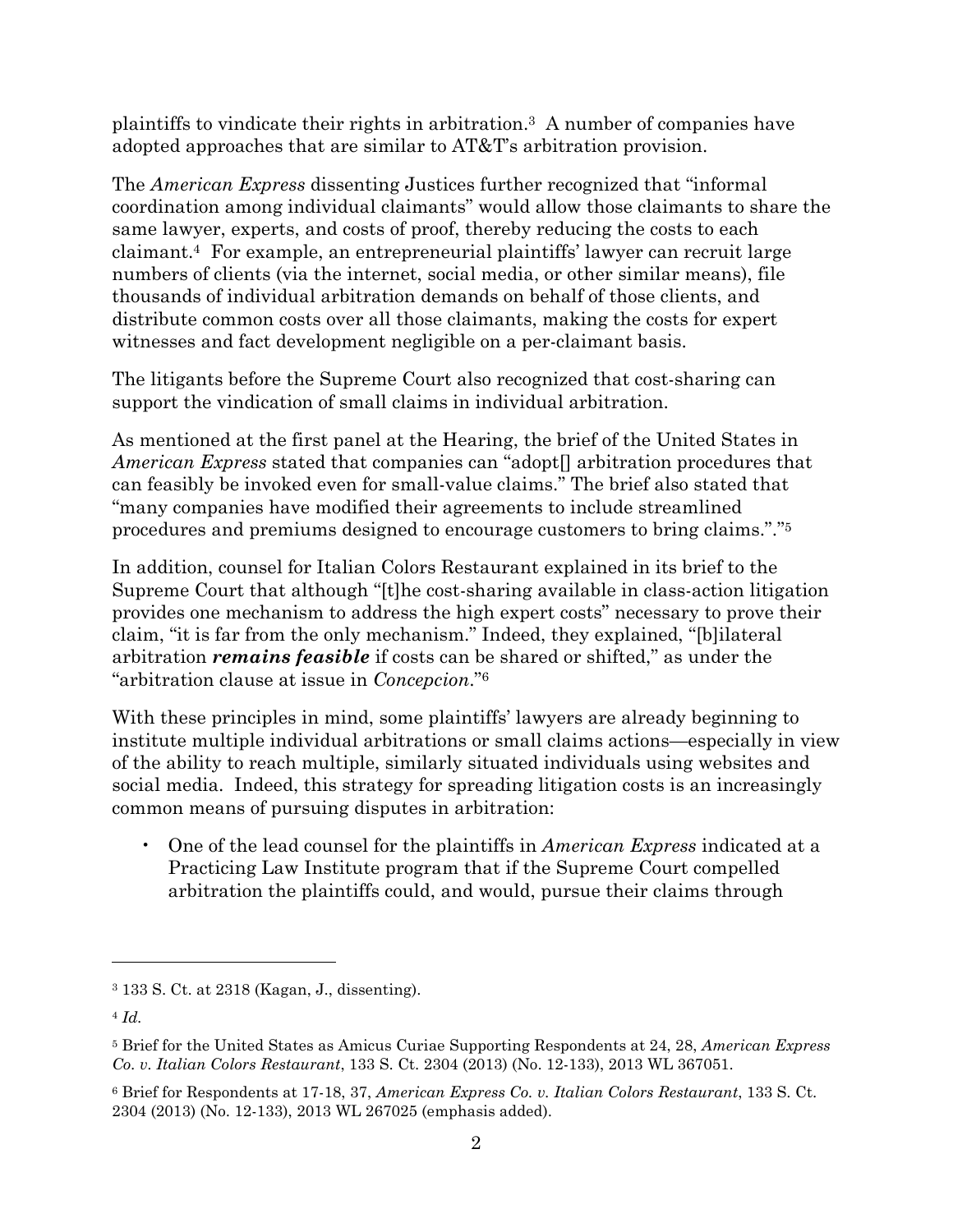plaintiffs to vindicate their rights in arbitration.<sup>3</sup> A number of companies have adopted approaches that are similar to AT&T's arbitration provision.

The *American Express* dissenting Justices further recognized that "informal coordination among individual claimants" would allow those claimants to share the same lawyer, experts, and costs of proof, thereby reducing the costs to each claimant.<sup>4</sup> For example, an entrepreneurial plaintiffs' lawyer can recruit large numbers of clients (via the internet, social media, or other similar means), file thousands of individual arbitration demands on behalf of those clients, and distribute common costs over all those claimants, making the costs for expert witnesses and fact development negligible on a per-claimant basis.

The litigants before the Supreme Court also recognized that cost-sharing can support the vindication of small claims in individual arbitration.

As mentioned at the first panel at the Hearing, the brief of the United States in *American Express* stated that companies can "adopt[] arbitration procedures that can feasibly be invoked even for small-value claims." The brief also stated that "many companies have modified their agreements to include streamlined procedures and premiums designed to encourage customers to bring claims."."<sup>5</sup>

In addition, counsel for Italian Colors Restaurant explained in its brief to the Supreme Court that although "[t]he cost-sharing available in class-action litigation provides one mechanism to address the high expert costs" necessary to prove their claim, "it is far from the only mechanism." Indeed, they explained, "[b]ilateral arbitration *remains feasible* if costs can be shared or shifted," as under the "arbitration clause at issue in *Concepcion*."<sup>6</sup>

With these principles in mind, some plaintiffs' lawyers are already beginning to institute multiple individual arbitrations or small claims actions—especially in view of the ability to reach multiple, similarly situated individuals using websites and social media. Indeed, this strategy for spreading litigation costs is an increasingly common means of pursuing disputes in arbitration:

• One of the lead counsel for the plaintiffs in *American Express* indicated at a Practicing Law Institute program that if the Supreme Court compelled arbitration the plaintiffs could, and would, pursue their claims through

<sup>3</sup> 133 S. Ct. at 2318 (Kagan, J., dissenting).

<sup>4</sup> *Id.*

<sup>5</sup> Brief for the United States as Amicus Curiae Supporting Respondents at 24, 28, *American Express Co. v. Italian Colors Restaurant*, 133 S. Ct. 2304 (2013) (No. 12-133), 2013 WL 367051.

<sup>6</sup> Brief for Respondents at 17-18, 37, *American Express Co. v. Italian Colors Restaurant*, 133 S. Ct. 2304 (2013) (No. 12-133), 2013 WL 267025 (emphasis added).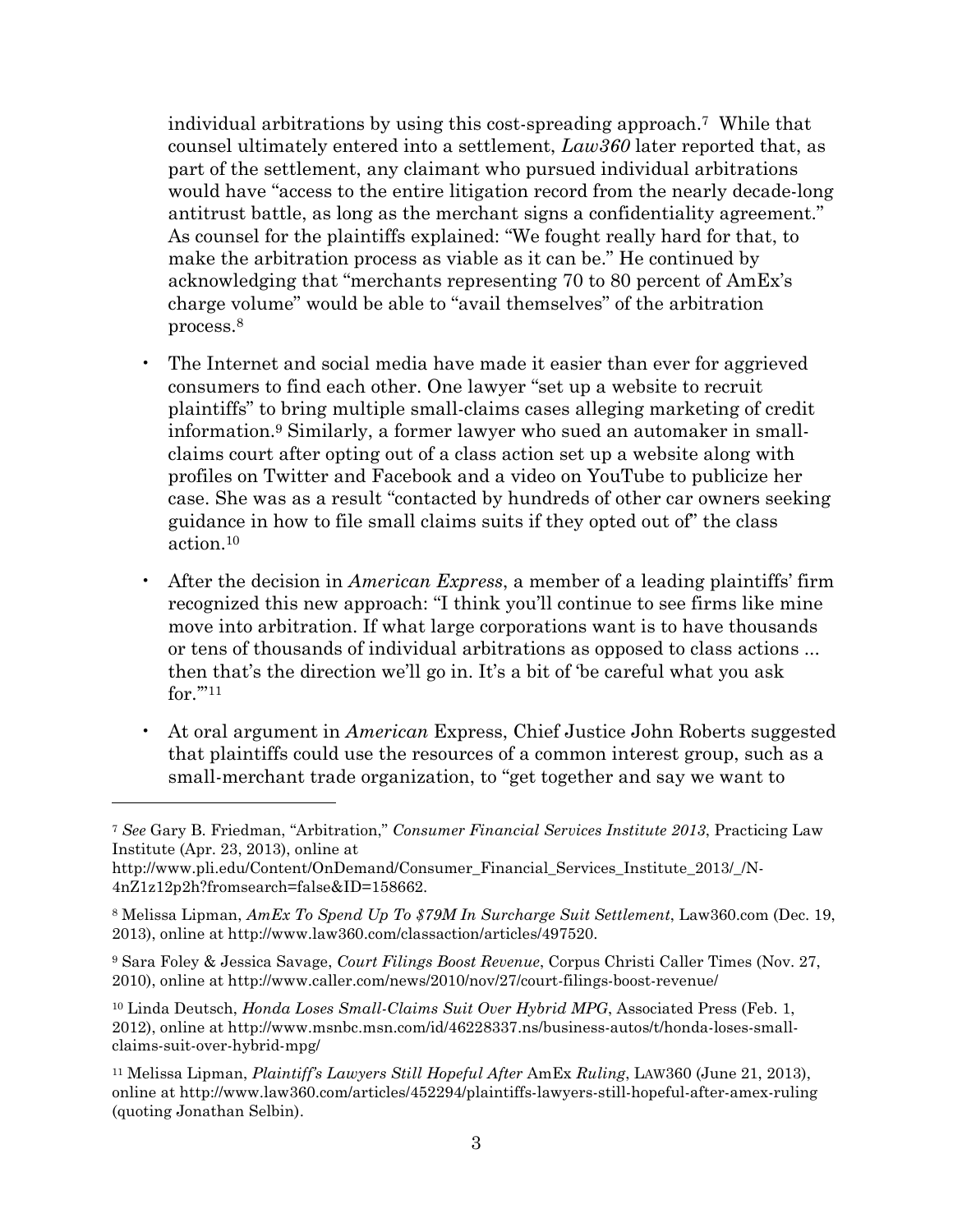individual arbitrations by using this cost-spreading approach.<sup>7</sup> While that counsel ultimately entered into a settlement, *Law360* later reported that, as part of the settlement, any claimant who pursued individual arbitrations would have "access to the entire litigation record from the nearly decade-long antitrust battle, as long as the merchant signs a confidentiality agreement." As counsel for the plaintiffs explained: "We fought really hard for that, to make the arbitration process as viable as it can be." He continued by acknowledging that "merchants representing 70 to 80 percent of AmEx's charge volume" would be able to "avail themselves" of the arbitration process.<sup>8</sup>

- The Internet and social media have made it easier than ever for aggrieved consumers to find each other. One lawyer "set up a website to recruit plaintiffs" to bring multiple small-claims cases alleging marketing of credit information.<sup>9</sup> Similarly, a former lawyer who sued an automaker in smallclaims court after opting out of a class action set up a website along with profiles on Twitter and Facebook and a video on YouTube to publicize her case. She was as a result "contacted by hundreds of other car owners seeking guidance in how to file small claims suits if they opted out of" the class action.<sup>10</sup>
- After the decision in *American Express*, a member of a leading plaintiffs' firm recognized this new approach: "I think you'll continue to see firms like mine move into arbitration. If what large corporations want is to have thousands or tens of thousands of individual arbitrations as opposed to class actions ... then that's the direction we'll go in. It's a bit of 'be careful what you ask for.'"<sup>11</sup>
- At oral argument in *American* Express, Chief Justice John Roberts suggested that plaintiffs could use the resources of a common interest group, such as a small-merchant trade organization, to "get together and say we want to

<sup>7</sup> *See* Gary B. Friedman, "Arbitration," *Consumer Financial Services Institute 2013*, Practicing Law Institute (Apr. 23, 2013), online at

http://www.pli.edu/Content/OnDemand/Consumer\_Financial\_Services\_Institute\_2013/\_/N-4nZ1z12p2h?fromsearch=false&ID=158662.

<sup>8</sup> Melissa Lipman, *AmEx To Spend Up To \$79M In Surcharge Suit Settlement*, Law360.com (Dec. 19, 2013), online at http://www.law360.com/classaction/articles/497520.

<sup>9</sup> Sara Foley & Jessica Savage, *Court Filings Boost Revenue*, Corpus Christi Caller Times (Nov. 27, 2010), online at http://www.caller.com/news/2010/nov/27/court-filings-boost-revenue/

<sup>10</sup> Linda Deutsch, *Honda Loses Small-Claims Suit Over Hybrid MPG*, Associated Press (Feb. 1, 2012), online at http://www.msnbc.msn.com/id/46228337.ns/business-autos/t/honda-loses-smallclaims-suit-over-hybrid-mpg/

<sup>11</sup> Melissa Lipman, *Plaintiff's Lawyers Still Hopeful After* AmEx *Ruling*, LAW360 (June 21, 2013), online at http://www.law360.com/articles/452294/plaintiffs-lawyers-still-hopeful-after-amex-ruling (quoting Jonathan Selbin).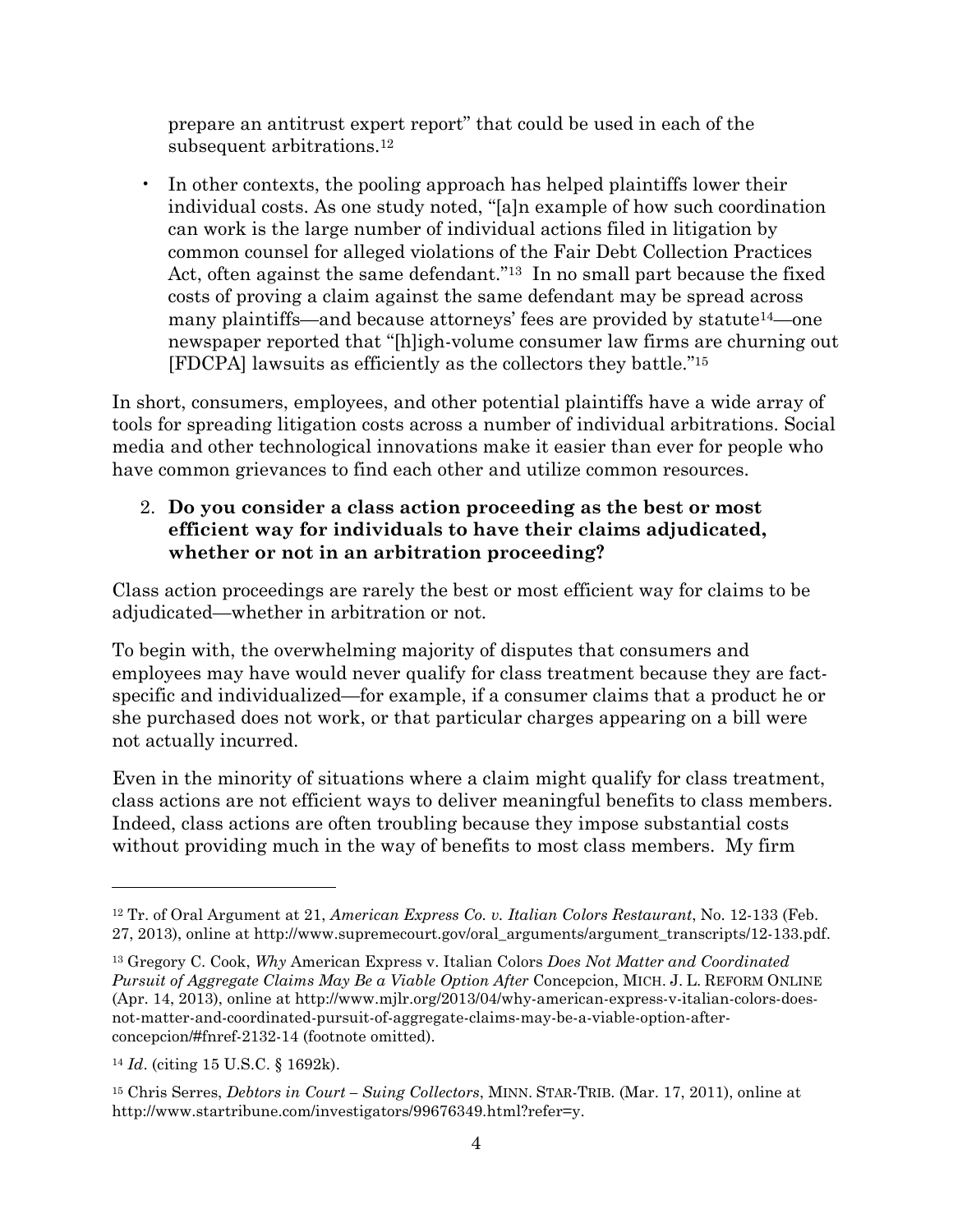prepare an antitrust expert report" that could be used in each of the subsequent arbitrations.<sup>12</sup>

• In other contexts, the pooling approach has helped plaintiffs lower their individual costs. As one study noted, "[a]n example of how such coordination can work is the large number of individual actions filed in litigation by common counsel for alleged violations of the Fair Debt Collection Practices Act, often against the same defendant."<sup>13</sup> In no small part because the fixed costs of proving a claim against the same defendant may be spread across many plaintiffs—and because attorneys' fees are provided by statute<sup>14</sup>—one newspaper reported that "[h]igh-volume consumer law firms are churning out [FDCPA] lawsuits as efficiently as the collectors they battle."<sup>15</sup>

In short, consumers, employees, and other potential plaintiffs have a wide array of tools for spreading litigation costs across a number of individual arbitrations. Social media and other technological innovations make it easier than ever for people who have common grievances to find each other and utilize common resources.

## 2. **Do you consider a class action proceeding as the best or most efficient way for individuals to have their claims adjudicated, whether or not in an arbitration proceeding?**

Class action proceedings are rarely the best or most efficient way for claims to be adjudicated—whether in arbitration or not.

To begin with, the overwhelming majority of disputes that consumers and employees may have would never qualify for class treatment because they are factspecific and individualized—for example, if a consumer claims that a product he or she purchased does not work, or that particular charges appearing on a bill were not actually incurred.

Even in the minority of situations where a claim might qualify for class treatment, class actions are not efficient ways to deliver meaningful benefits to class members. Indeed, class actions are often troubling because they impose substantial costs without providing much in the way of benefits to most class members. My firm

<sup>12</sup> Tr. of Oral Argument at 21, *American Express Co. v. Italian Colors Restaurant*, No. 12-133 (Feb. 27, 2013), online at http://www.supremecourt.gov/oral\_arguments/argument\_transcripts/12-133.pdf.

<sup>13</sup> Gregory C. Cook, *Why* American Express v. Italian Colors *Does Not Matter and Coordinated Pursuit of Aggregate Claims May Be a Viable Option After* Concepcion, MICH. J. L. REFORM ONLINE (Apr. 14, 2013), online at http://www.mjlr.org/2013/04/why-american-express-v-italian-colors-doesnot-matter-and-coordinated-pursuit-of-aggregate-claims-may-be-a-viable-option-afterconcepcion/#fnref-2132-14 (footnote omitted).

<sup>14</sup> *Id*. (citing 15 U.S.C. § 1692k).

<sup>15</sup> Chris Serres, *Debtors in Court – Suing Collectors*, MINN. STAR-TRIB. (Mar. 17, 2011), online at http://www.startribune.com/investigators/99676349.html?refer=y.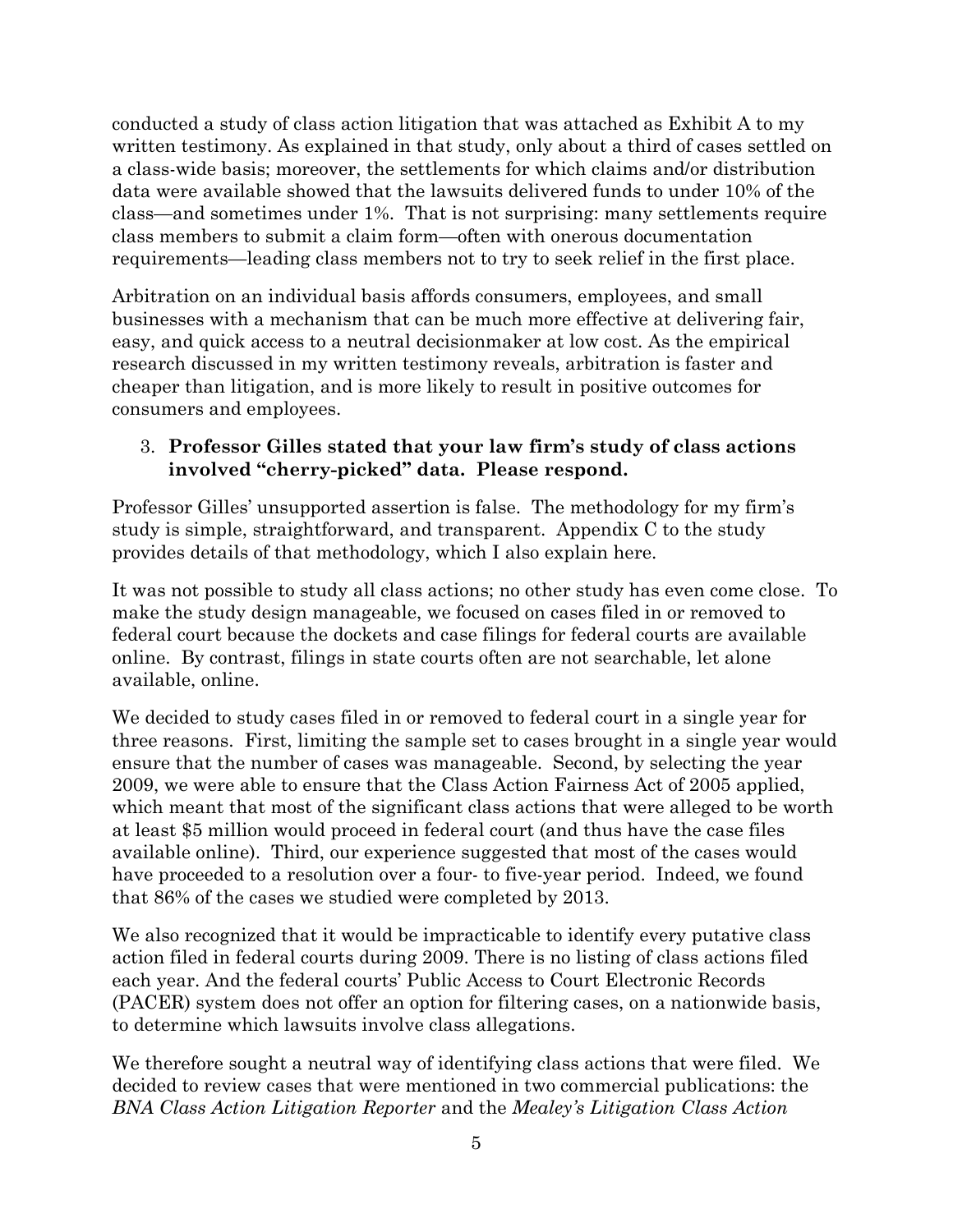conducted a study of class action litigation that was attached as Exhibit A to my written testimony. As explained in that study, only about a third of cases settled on a class-wide basis; moreover, the settlements for which claims and/or distribution data were available showed that the lawsuits delivered funds to under 10% of the class—and sometimes under 1%. That is not surprising: many settlements require class members to submit a claim form—often with onerous documentation requirements—leading class members not to try to seek relief in the first place.

Arbitration on an individual basis affords consumers, employees, and small businesses with a mechanism that can be much more effective at delivering fair, easy, and quick access to a neutral decisionmaker at low cost. As the empirical research discussed in my written testimony reveals, arbitration is faster and cheaper than litigation, and is more likely to result in positive outcomes for consumers and employees.

## 3. **Professor Gilles stated that your law firm's study of class actions involved "cherry-picked" data. Please respond.**

Professor Gilles' unsupported assertion is false. The methodology for my firm's study is simple, straightforward, and transparent. Appendix C to the study provides details of that methodology, which I also explain here.

It was not possible to study all class actions; no other study has even come close. To make the study design manageable, we focused on cases filed in or removed to federal court because the dockets and case filings for federal courts are available online. By contrast, filings in state courts often are not searchable, let alone available, online.

We decided to study cases filed in or removed to federal court in a single year for three reasons. First, limiting the sample set to cases brought in a single year would ensure that the number of cases was manageable. Second, by selecting the year 2009, we were able to ensure that the Class Action Fairness Act of 2005 applied, which meant that most of the significant class actions that were alleged to be worth at least \$5 million would proceed in federal court (and thus have the case files available online). Third, our experience suggested that most of the cases would have proceeded to a resolution over a four- to five-year period. Indeed, we found that 86% of the cases we studied were completed by 2013.

We also recognized that it would be impracticable to identify every putative class action filed in federal courts during 2009. There is no listing of class actions filed each year. And the federal courts' Public Access to Court Electronic Records (PACER) system does not offer an option for filtering cases, on a nationwide basis, to determine which lawsuits involve class allegations.

We therefore sought a neutral way of identifying class actions that were filed. We decided to review cases that were mentioned in two commercial publications: the *BNA Class Action Litigation Reporter* and the *Mealey's Litigation Class Action*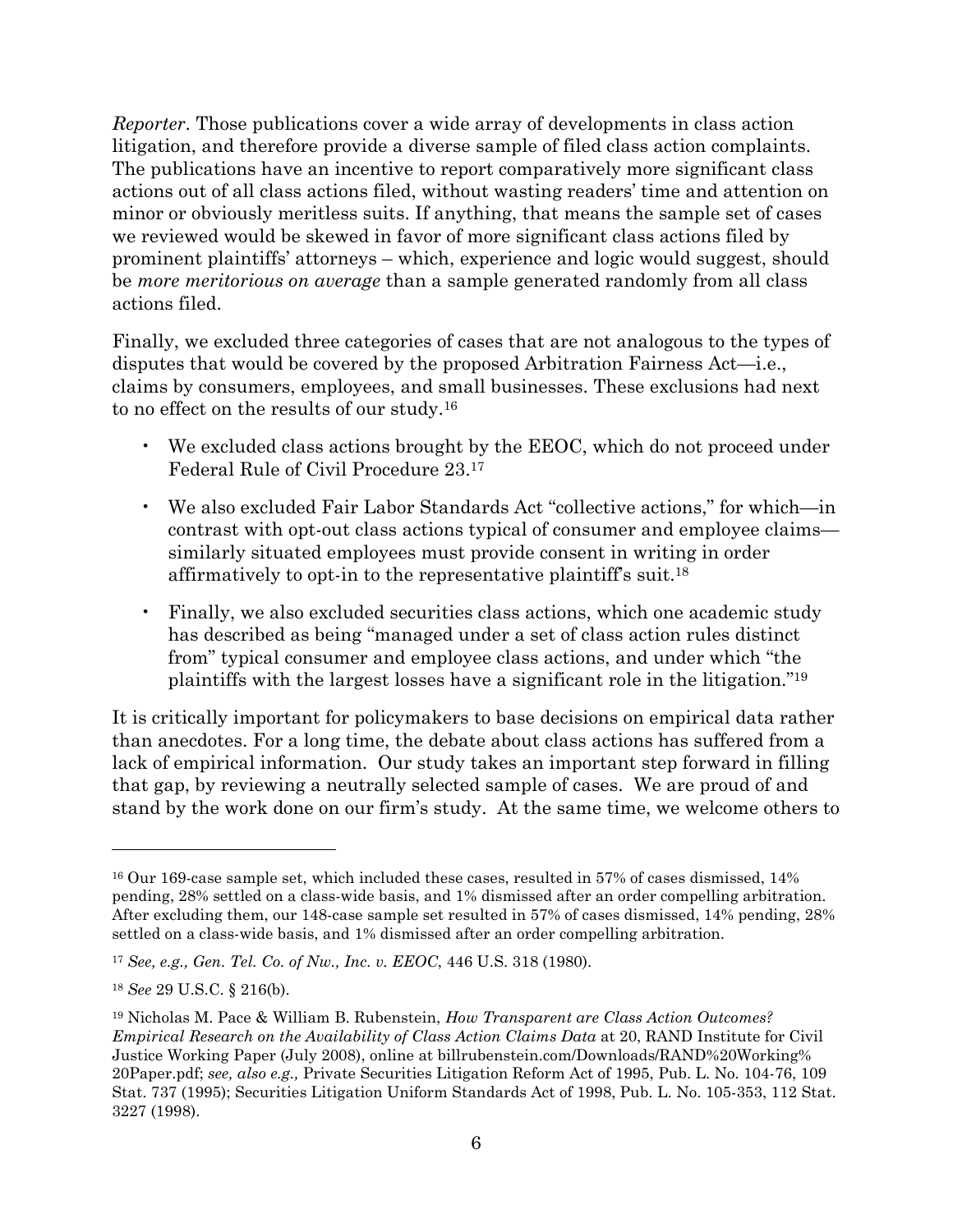*Reporter*. Those publications cover a wide array of developments in class action litigation, and therefore provide a diverse sample of filed class action complaints. The publications have an incentive to report comparatively more significant class actions out of all class actions filed, without wasting readers' time and attention on minor or obviously meritless suits. If anything, that means the sample set of cases we reviewed would be skewed in favor of more significant class actions filed by prominent plaintiffs' attorneys – which, experience and logic would suggest, should be *more meritorious on average* than a sample generated randomly from all class actions filed.

Finally, we excluded three categories of cases that are not analogous to the types of disputes that would be covered by the proposed Arbitration Fairness Act—i.e., claims by consumers, employees, and small businesses. These exclusions had next to no effect on the results of our study.<sup>16</sup>

- We excluded class actions brought by the EEOC, which do not proceed under Federal Rule of Civil Procedure 23.<sup>17</sup>
- We also excluded Fair Labor Standards Act "collective actions," for which—in contrast with opt-out class actions typical of consumer and employee claims similarly situated employees must provide consent in writing in order affirmatively to opt-in to the representative plaintiff's suit.<sup>18</sup>
- Finally, we also excluded securities class actions, which one academic study has described as being "managed under a set of class action rules distinct from" typical consumer and employee class actions, and under which "the plaintiffs with the largest losses have a significant role in the litigation."<sup>19</sup>

It is critically important for policymakers to base decisions on empirical data rather than anecdotes. For a long time, the debate about class actions has suffered from a lack of empirical information. Our study takes an important step forward in filling that gap, by reviewing a neutrally selected sample of cases. We are proud of and stand by the work done on our firm's study. At the same time, we welcome others to

<sup>16</sup> Our 169-case sample set, which included these cases, resulted in 57% of cases dismissed, 14% pending, 28% settled on a class-wide basis, and 1% dismissed after an order compelling arbitration. After excluding them, our 148-case sample set resulted in 57% of cases dismissed, 14% pending, 28% settled on a class-wide basis, and 1% dismissed after an order compelling arbitration.

<sup>17</sup> *See, e.g., Gen. Tel. Co. of Nw., Inc. v. EEOC*, 446 U.S. 318 (1980).

<sup>18</sup> *See* 29 U.S.C. § 216(b).

<sup>19</sup> Nicholas M. Pace & William B. Rubenstein, *How Transparent are Class Action Outcomes? Empirical Research on the Availability of Class Action Claims Data* at 20, RAND Institute for Civil Justice Working Paper (July 2008), online at billrubenstein.com/Downloads/RAND%20Working% 20Paper.pdf; *see, also e.g.,* Private Securities Litigation Reform Act of 1995, Pub. L. No. 104-76, 109 Stat. 737 (1995); Securities Litigation Uniform Standards Act of 1998, Pub. L. No. 105-353, 112 Stat. 3227 (1998).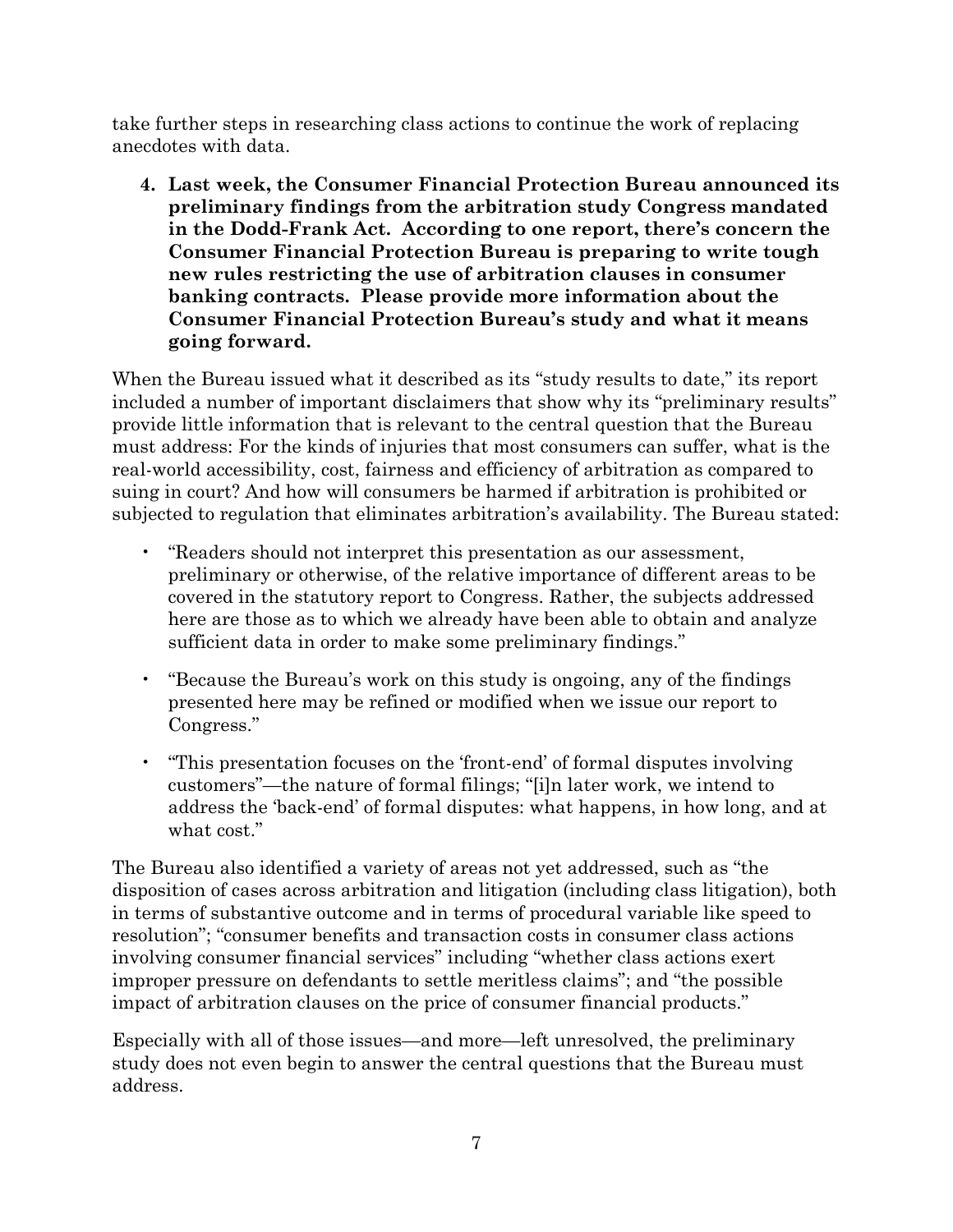take further steps in researching class actions to continue the work of replacing anecdotes with data.

**4. Last week, the Consumer Financial Protection Bureau announced its preliminary findings from the arbitration study Congress mandated in the Dodd-Frank Act. According to one report, there's concern the Consumer Financial Protection Bureau is preparing to write tough new rules restricting the use of arbitration clauses in consumer banking contracts. Please provide more information about the Consumer Financial Protection Bureau's study and what it means going forward.**

When the Bureau issued what it described as its "study results to date," its report included a number of important disclaimers that show why its "preliminary results" provide little information that is relevant to the central question that the Bureau must address: For the kinds of injuries that most consumers can suffer, what is the real-world accessibility, cost, fairness and efficiency of arbitration as compared to suing in court? And how will consumers be harmed if arbitration is prohibited or subjected to regulation that eliminates arbitration's availability. The Bureau stated:

- "Readers should not interpret this presentation as our assessment, preliminary or otherwise, of the relative importance of different areas to be covered in the statutory report to Congress. Rather, the subjects addressed here are those as to which we already have been able to obtain and analyze sufficient data in order to make some preliminary findings."
- "Because the Bureau's work on this study is ongoing, any of the findings presented here may be refined or modified when we issue our report to Congress."
- "This presentation focuses on the 'front-end' of formal disputes involving customers"—the nature of formal filings; "[i]n later work, we intend to address the 'back-end' of formal disputes: what happens, in how long, and at what cost."

The Bureau also identified a variety of areas not yet addressed, such as "the disposition of cases across arbitration and litigation (including class litigation), both in terms of substantive outcome and in terms of procedural variable like speed to resolution"; "consumer benefits and transaction costs in consumer class actions involving consumer financial services" including "whether class actions exert improper pressure on defendants to settle meritless claims"; and "the possible impact of arbitration clauses on the price of consumer financial products."

Especially with all of those issues—and more—left unresolved, the preliminary study does not even begin to answer the central questions that the Bureau must address.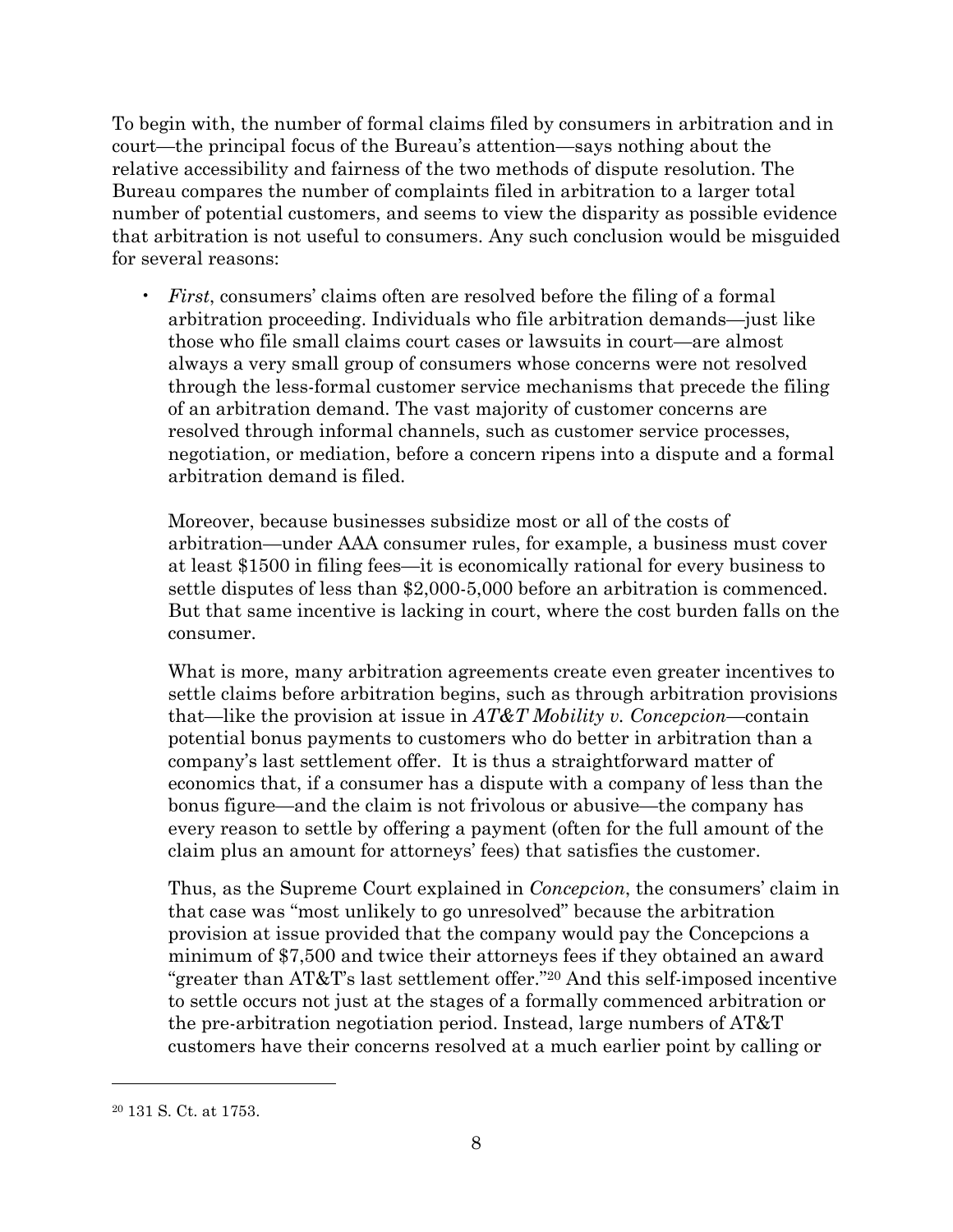To begin with, the number of formal claims filed by consumers in arbitration and in court—the principal focus of the Bureau's attention—says nothing about the relative accessibility and fairness of the two methods of dispute resolution. The Bureau compares the number of complaints filed in arbitration to a larger total number of potential customers, and seems to view the disparity as possible evidence that arbitration is not useful to consumers. Any such conclusion would be misguided for several reasons:

• *First*, consumers' claims often are resolved before the filing of a formal arbitration proceeding. Individuals who file arbitration demands—just like those who file small claims court cases or lawsuits in court—are almost always a very small group of consumers whose concerns were not resolved through the less-formal customer service mechanisms that precede the filing of an arbitration demand. The vast majority of customer concerns are resolved through informal channels, such as customer service processes, negotiation, or mediation, before a concern ripens into a dispute and a formal arbitration demand is filed.

Moreover, because businesses subsidize most or all of the costs of arbitration—under AAA consumer rules, for example, a business must cover at least \$1500 in filing fees—it is economically rational for every business to settle disputes of less than \$2,000-5,000 before an arbitration is commenced. But that same incentive is lacking in court, where the cost burden falls on the consumer.

What is more, many arbitration agreements create even greater incentives to settle claims before arbitration begins, such as through arbitration provisions that—like the provision at issue in *AT&T Mobility v. Concepcion*—contain potential bonus payments to customers who do better in arbitration than a company's last settlement offer. It is thus a straightforward matter of economics that, if a consumer has a dispute with a company of less than the bonus figure—and the claim is not frivolous or abusive—the company has every reason to settle by offering a payment (often for the full amount of the claim plus an amount for attorneys' fees) that satisfies the customer.

Thus, as the Supreme Court explained in *Concepcion*, the consumers' claim in that case was "most unlikely to go unresolved" because the arbitration provision at issue provided that the company would pay the Concepcions a minimum of \$7,500 and twice their attorneys fees if they obtained an award "greater than AT&T's last settlement offer."<sup>20</sup> And this self-imposed incentive to settle occurs not just at the stages of a formally commenced arbitration or the pre-arbitration negotiation period. Instead, large numbers of AT&T customers have their concerns resolved at a much earlier point by calling or

<sup>20</sup> 131 S. Ct. at 1753.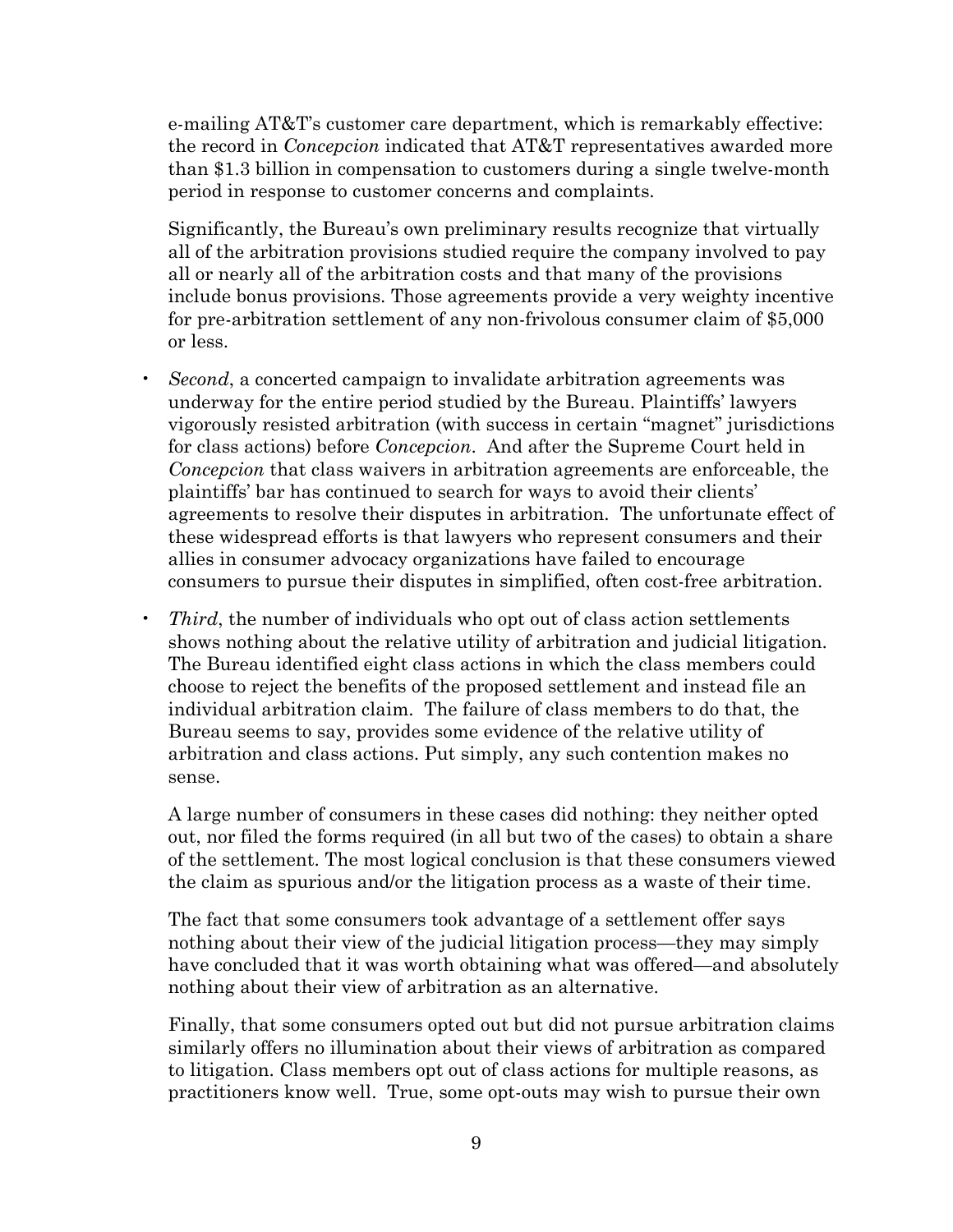e-mailing AT&T's customer care department, which is remarkably effective: the record in *Concepcion* indicated that AT&T representatives awarded more than \$1.3 billion in compensation to customers during a single twelve-month period in response to customer concerns and complaints.

Significantly, the Bureau's own preliminary results recognize that virtually all of the arbitration provisions studied require the company involved to pay all or nearly all of the arbitration costs and that many of the provisions include bonus provisions. Those agreements provide a very weighty incentive for pre-arbitration settlement of any non-frivolous consumer claim of \$5,000 or less.

- *Second*, a concerted campaign to invalidate arbitration agreements was underway for the entire period studied by the Bureau. Plaintiffs' lawyers vigorously resisted arbitration (with success in certain "magnet" jurisdictions for class actions) before *Concepcion*. And after the Supreme Court held in *Concepcion* that class waivers in arbitration agreements are enforceable, the plaintiffs' bar has continued to search for ways to avoid their clients' agreements to resolve their disputes in arbitration. The unfortunate effect of these widespread efforts is that lawyers who represent consumers and their allies in consumer advocacy organizations have failed to encourage consumers to pursue their disputes in simplified, often cost-free arbitration.
- *Third*, the number of individuals who opt out of class action settlements shows nothing about the relative utility of arbitration and judicial litigation. The Bureau identified eight class actions in which the class members could choose to reject the benefits of the proposed settlement and instead file an individual arbitration claim. The failure of class members to do that, the Bureau seems to say, provides some evidence of the relative utility of arbitration and class actions. Put simply, any such contention makes no sense.

A large number of consumers in these cases did nothing: they neither opted out, nor filed the forms required (in all but two of the cases) to obtain a share of the settlement. The most logical conclusion is that these consumers viewed the claim as spurious and/or the litigation process as a waste of their time.

The fact that some consumers took advantage of a settlement offer says nothing about their view of the judicial litigation process—they may simply have concluded that it was worth obtaining what was offered—and absolutely nothing about their view of arbitration as an alternative.

Finally, that some consumers opted out but did not pursue arbitration claims similarly offers no illumination about their views of arbitration as compared to litigation. Class members opt out of class actions for multiple reasons, as practitioners know well. True, some opt-outs may wish to pursue their own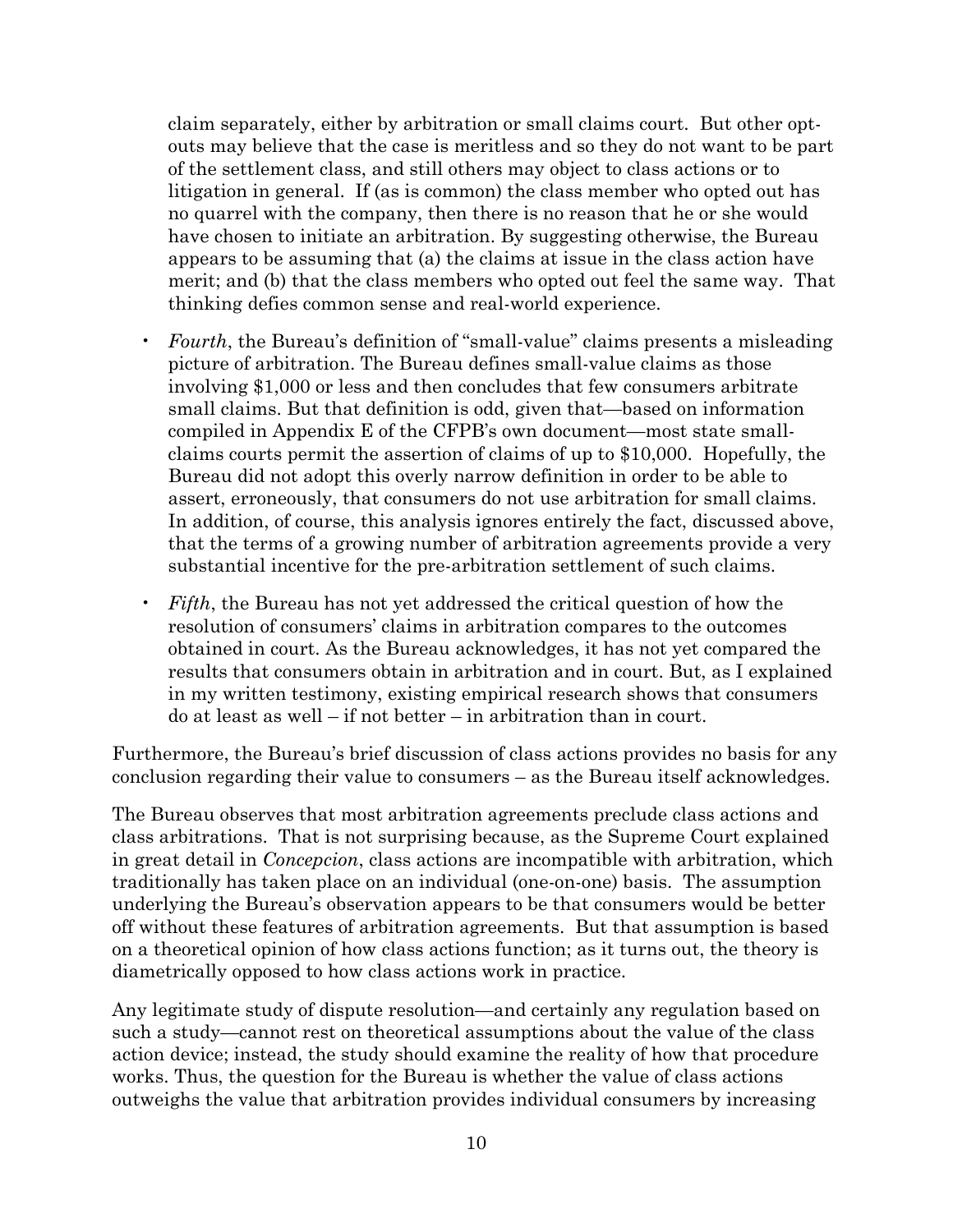claim separately, either by arbitration or small claims court. But other optouts may believe that the case is meritless and so they do not want to be part of the settlement class, and still others may object to class actions or to litigation in general. If (as is common) the class member who opted out has no quarrel with the company, then there is no reason that he or she would have chosen to initiate an arbitration. By suggesting otherwise, the Bureau appears to be assuming that (a) the claims at issue in the class action have merit; and (b) that the class members who opted out feel the same way. That thinking defies common sense and real-world experience.

- *Fourth*, the Bureau's definition of "small-value" claims presents a misleading picture of arbitration. The Bureau defines small-value claims as those involving \$1,000 or less and then concludes that few consumers arbitrate small claims. But that definition is odd, given that—based on information compiled in Appendix E of the CFPB's own document—most state smallclaims courts permit the assertion of claims of up to \$10,000. Hopefully, the Bureau did not adopt this overly narrow definition in order to be able to assert, erroneously, that consumers do not use arbitration for small claims. In addition, of course, this analysis ignores entirely the fact, discussed above, that the terms of a growing number of arbitration agreements provide a very substantial incentive for the pre-arbitration settlement of such claims.
- *Fifth*, the Bureau has not yet addressed the critical question of how the resolution of consumers' claims in arbitration compares to the outcomes obtained in court. As the Bureau acknowledges, it has not yet compared the results that consumers obtain in arbitration and in court. But, as I explained in my written testimony, existing empirical research shows that consumers do at least as well – if not better – in arbitration than in court.

Furthermore, the Bureau's brief discussion of class actions provides no basis for any conclusion regarding their value to consumers – as the Bureau itself acknowledges.

The Bureau observes that most arbitration agreements preclude class actions and class arbitrations. That is not surprising because, as the Supreme Court explained in great detail in *Concepcion*, class actions are incompatible with arbitration, which traditionally has taken place on an individual (one-on-one) basis. The assumption underlying the Bureau's observation appears to be that consumers would be better off without these features of arbitration agreements. But that assumption is based on a theoretical opinion of how class actions function; as it turns out, the theory is diametrically opposed to how class actions work in practice.

Any legitimate study of dispute resolution—and certainly any regulation based on such a study—cannot rest on theoretical assumptions about the value of the class action device; instead, the study should examine the reality of how that procedure works. Thus, the question for the Bureau is whether the value of class actions outweighs the value that arbitration provides individual consumers by increasing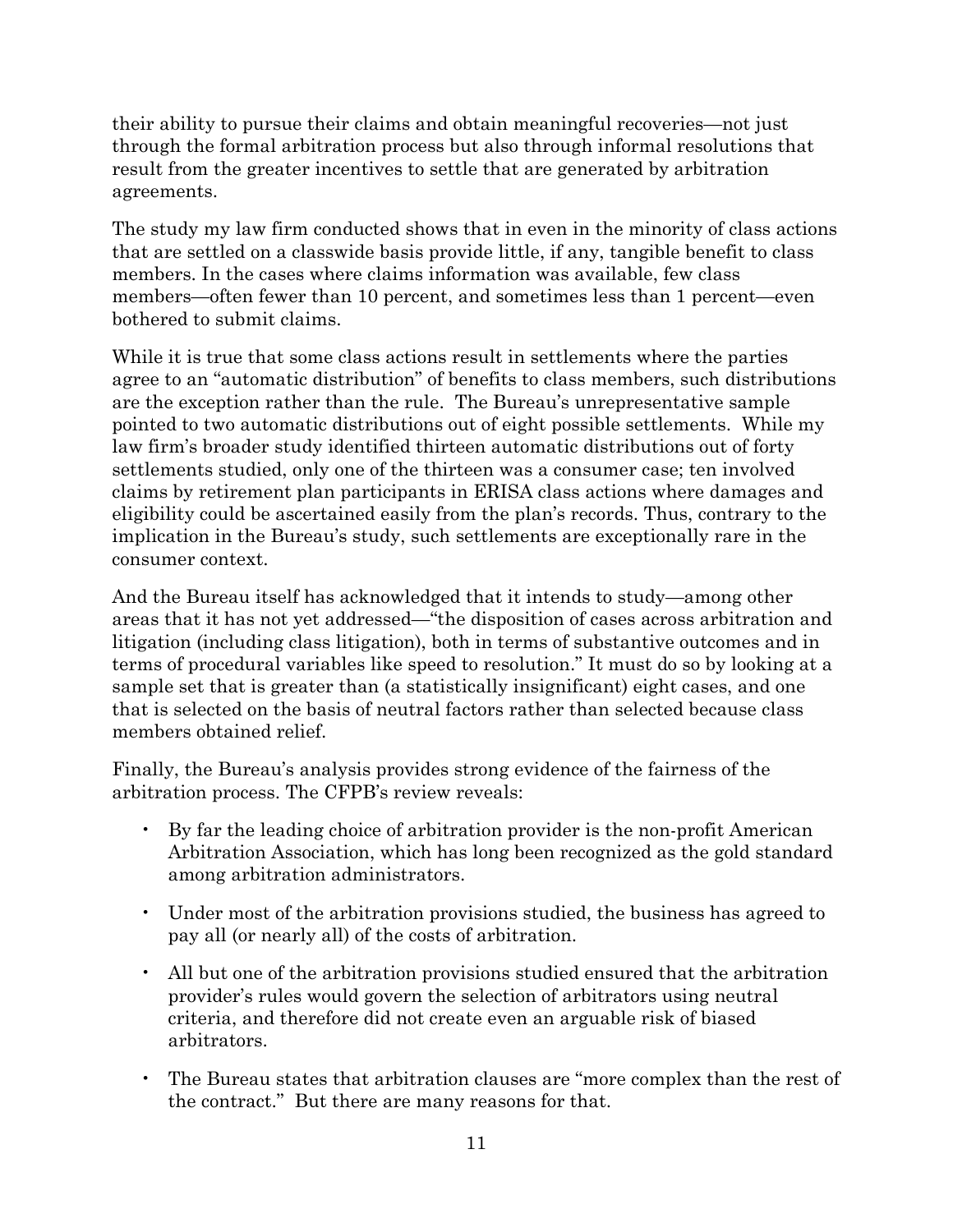their ability to pursue their claims and obtain meaningful recoveries—not just through the formal arbitration process but also through informal resolutions that result from the greater incentives to settle that are generated by arbitration agreements.

The study my law firm conducted shows that in even in the minority of class actions that are settled on a classwide basis provide little, if any, tangible benefit to class members. In the cases where claims information was available, few class members—often fewer than 10 percent, and sometimes less than 1 percent—even bothered to submit claims.

While it is true that some class actions result in settlements where the parties agree to an "automatic distribution" of benefits to class members, such distributions are the exception rather than the rule. The Bureau's unrepresentative sample pointed to two automatic distributions out of eight possible settlements. While my law firm's broader study identified thirteen automatic distributions out of forty settlements studied, only one of the thirteen was a consumer case; ten involved claims by retirement plan participants in ERISA class actions where damages and eligibility could be ascertained easily from the plan's records. Thus, contrary to the implication in the Bureau's study, such settlements are exceptionally rare in the consumer context.

And the Bureau itself has acknowledged that it intends to study—among other areas that it has not yet addressed—"the disposition of cases across arbitration and litigation (including class litigation), both in terms of substantive outcomes and in terms of procedural variables like speed to resolution." It must do so by looking at a sample set that is greater than (a statistically insignificant) eight cases, and one that is selected on the basis of neutral factors rather than selected because class members obtained relief.

Finally, the Bureau's analysis provides strong evidence of the fairness of the arbitration process. The CFPB's review reveals:

- By far the leading choice of arbitration provider is the non-profit American Arbitration Association, which has long been recognized as the gold standard among arbitration administrators.
- Under most of the arbitration provisions studied, the business has agreed to pay all (or nearly all) of the costs of arbitration.
- All but one of the arbitration provisions studied ensured that the arbitration provider's rules would govern the selection of arbitrators using neutral criteria, and therefore did not create even an arguable risk of biased arbitrators.
- The Bureau states that arbitration clauses are "more complex than the rest of the contract." But there are many reasons for that.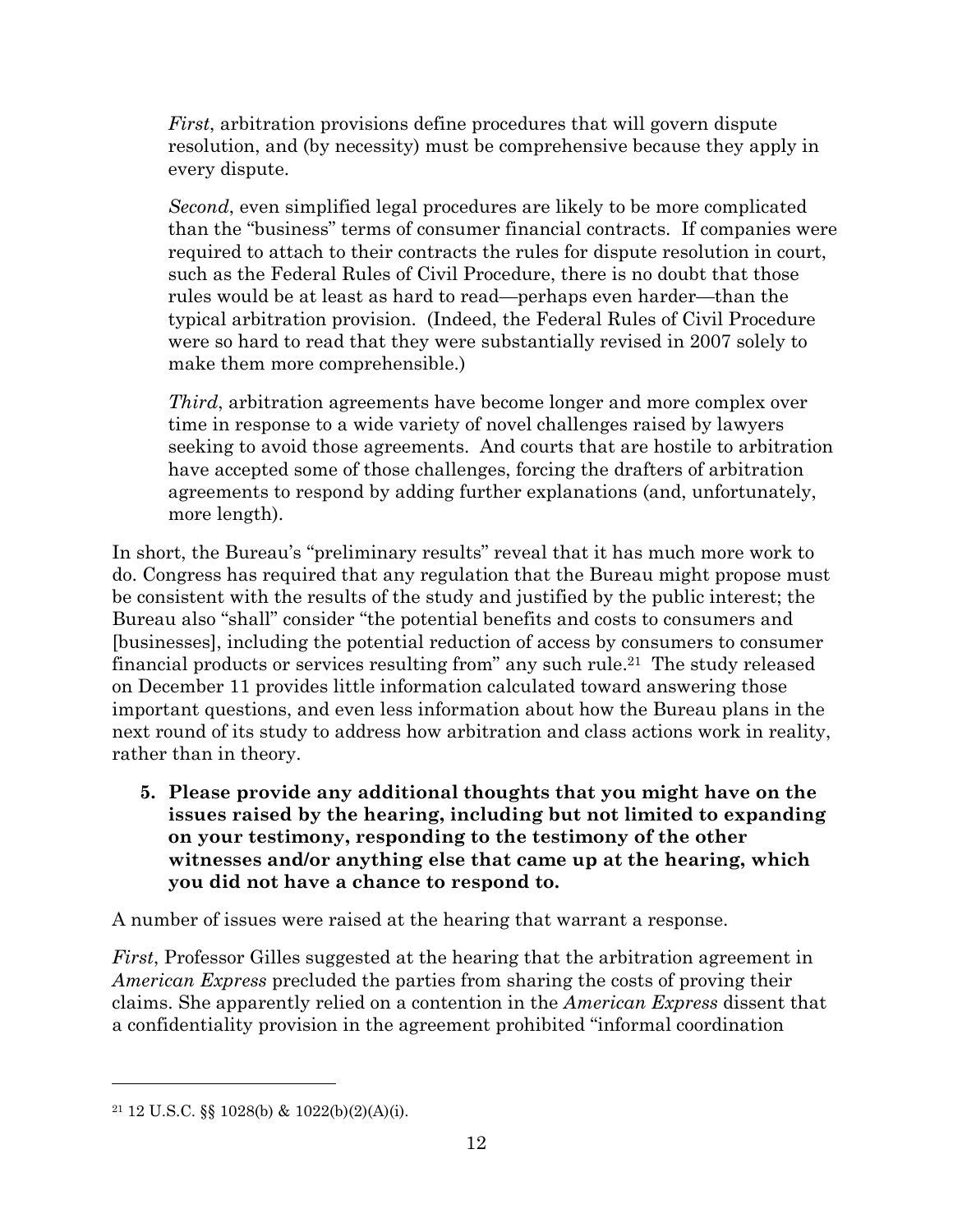*First*, arbitration provisions define procedures that will govern dispute resolution, and (by necessity) must be comprehensive because they apply in every dispute.

*Second*, even simplified legal procedures are likely to be more complicated than the "business" terms of consumer financial contracts. If companies were required to attach to their contracts the rules for dispute resolution in court, such as the Federal Rules of Civil Procedure, there is no doubt that those rules would be at least as hard to read—perhaps even harder—than the typical arbitration provision. (Indeed, the Federal Rules of Civil Procedure were so hard to read that they were substantially revised in 2007 solely to make them more comprehensible.)

*Third*, arbitration agreements have become longer and more complex over time in response to a wide variety of novel challenges raised by lawyers seeking to avoid those agreements. And courts that are hostile to arbitration have accepted some of those challenges, forcing the drafters of arbitration agreements to respond by adding further explanations (and, unfortunately, more length).

In short, the Bureau's "preliminary results" reveal that it has much more work to do. Congress has required that any regulation that the Bureau might propose must be consistent with the results of the study and justified by the public interest; the Bureau also "shall" consider "the potential benefits and costs to consumers and [businesses], including the potential reduction of access by consumers to consumer financial products or services resulting from" any such rule.<sup>21</sup> The study released on December 11 provides little information calculated toward answering those important questions, and even less information about how the Bureau plans in the next round of its study to address how arbitration and class actions work in reality, rather than in theory.

**5. Please provide any additional thoughts that you might have on the issues raised by the hearing, including but not limited to expanding on your testimony, responding to the testimony of the other witnesses and/or anything else that came up at the hearing, which you did not have a chance to respond to.**

A number of issues were raised at the hearing that warrant a response.

*First*, Professor Gilles suggested at the hearing that the arbitration agreement in *American Express* precluded the parties from sharing the costs of proving their claims. She apparently relied on a contention in the *American Express* dissent that a confidentiality provision in the agreement prohibited "informal coordination

<sup>21</sup> 12 U.S.C. §§ 1028(b) & 1022(b)(2)(A)(i).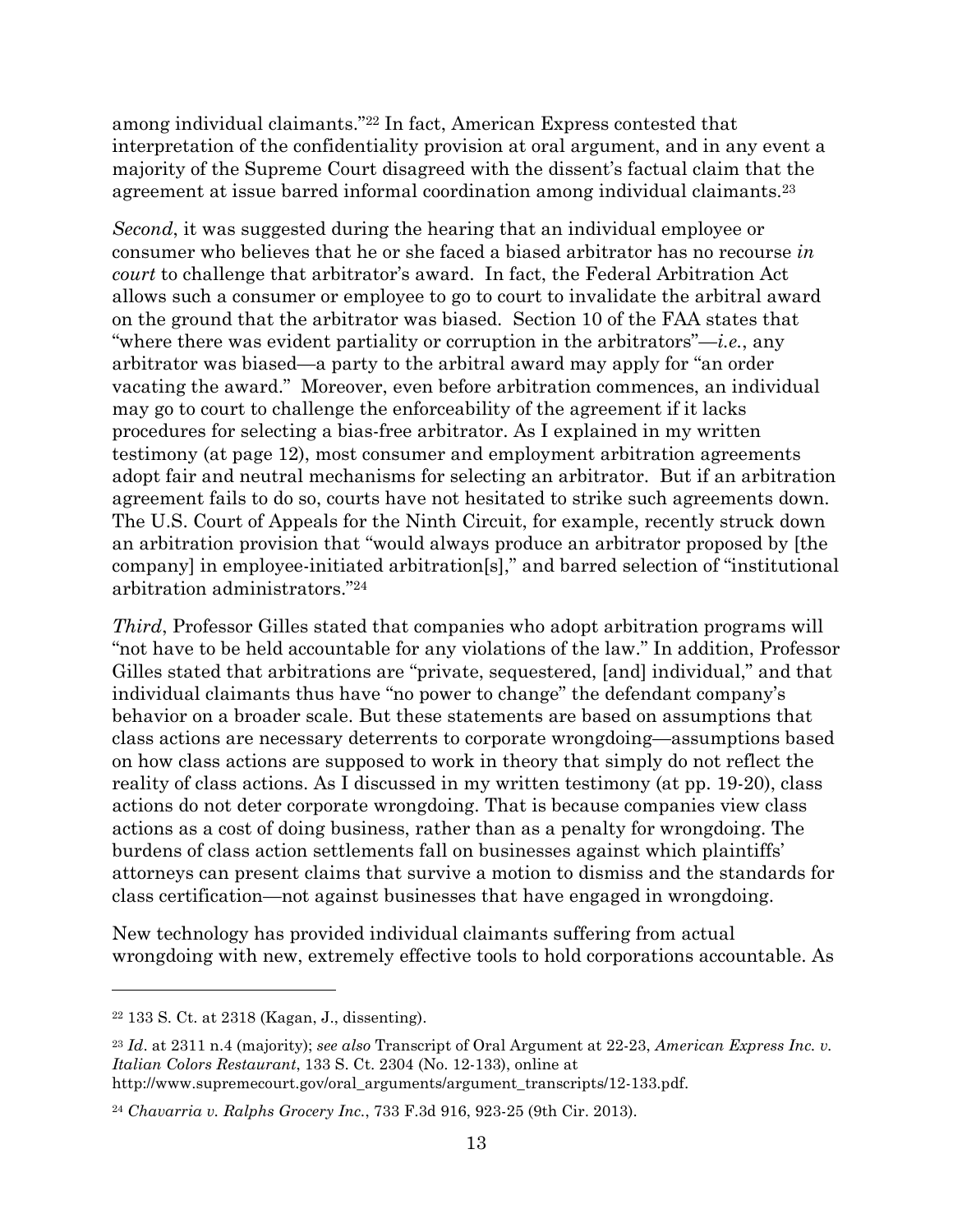among individual claimants."<sup>22</sup> In fact, American Express contested that interpretation of the confidentiality provision at oral argument, and in any event a majority of the Supreme Court disagreed with the dissent's factual claim that the agreement at issue barred informal coordination among individual claimants.<sup>23</sup>

*Second*, it was suggested during the hearing that an individual employee or consumer who believes that he or she faced a biased arbitrator has no recourse *in court* to challenge that arbitrator's award. In fact, the Federal Arbitration Act allows such a consumer or employee to go to court to invalidate the arbitral award on the ground that the arbitrator was biased. Section 10 of the FAA states that "where there was evident partiality or corruption in the arbitrators"—*i.e.*, any arbitrator was biased—a party to the arbitral award may apply for "an order vacating the award." Moreover, even before arbitration commences, an individual may go to court to challenge the enforceability of the agreement if it lacks procedures for selecting a bias-free arbitrator. As I explained in my written testimony (at page 12), most consumer and employment arbitration agreements adopt fair and neutral mechanisms for selecting an arbitrator. But if an arbitration agreement fails to do so, courts have not hesitated to strike such agreements down. The U.S. Court of Appeals for the Ninth Circuit, for example, recently struck down an arbitration provision that "would always produce an arbitrator proposed by [the company] in employee-initiated arbitration[s]," and barred selection of "institutional arbitration administrators."<sup>24</sup>

*Third*, Professor Gilles stated that companies who adopt arbitration programs will "not have to be held accountable for any violations of the law." In addition, Professor Gilles stated that arbitrations are "private, sequestered, [and] individual," and that individual claimants thus have "no power to change" the defendant company's behavior on a broader scale. But these statements are based on assumptions that class actions are necessary deterrents to corporate wrongdoing—assumptions based on how class actions are supposed to work in theory that simply do not reflect the reality of class actions. As I discussed in my written testimony (at pp. 19-20), class actions do not deter corporate wrongdoing. That is because companies view class actions as a cost of doing business, rather than as a penalty for wrongdoing. The burdens of class action settlements fall on businesses against which plaintiffs' attorneys can present claims that survive a motion to dismiss and the standards for class certification—not against businesses that have engaged in wrongdoing.

New technology has provided individual claimants suffering from actual wrongdoing with new, extremely effective tools to hold corporations accountable. As

<sup>22</sup> 133 S. Ct. at 2318 (Kagan, J., dissenting).

<sup>23</sup> *Id*. at 2311 n.4 (majority); *see also* Transcript of Oral Argument at 22-23, *American Express Inc. v. Italian Colors Restaurant*, 133 S. Ct. 2304 (No. 12-133), online at http://www.supremecourt.gov/oral\_arguments/argument\_transcripts/12-133.pdf.

<sup>24</sup> *Chavarria v. Ralphs Grocery Inc.*, 733 F.3d 916, 923-25 (9th Cir. 2013).